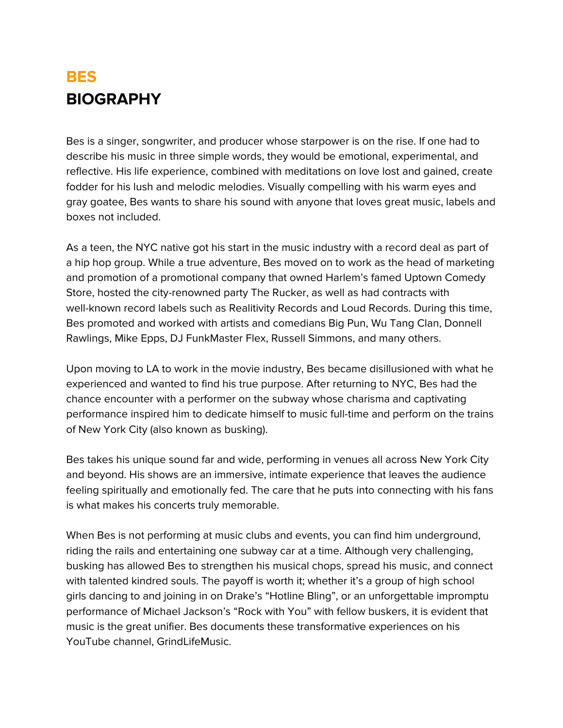## **BES BIOGRAPHY**

Bes is a singer, songwriter, and producer whose starpower is on the rise. If one had to describe his music in three simple words, they would be emotional, experimental, and reflective. His life experience, combined with meditations on love lost and gained, create fodder for his lush and melodic melodies. Visually compelling with his warm eyes and gray goatee, Bes wants to share his sound with anyone that loves great music, labels and boxes not included.

As a teen, the NYC native got his start in the music industry with a record deal as part of a hip hop group. While a true adventure, Bes moved on to work as the head of marketing and promotion of a promotional company that owned Harlem's famed Uptown Comedy Store, hosted the city-renowned party The Rucker, as well as had contracts with well-known record labels such as Realitivity Records and Loud Records. During this time, Bes promoted and worked with artists and comedians Big Pun, Wu Tang Clan, Donnell Rawlings, Mike Epps, DJ FunkMaster Flex, Russell Simmons, and many others.

Upon moving to LA to work in the movie industry, Bes became disillusioned with what he experienced and wanted to find his true purpose. After returning to NYC, Bes had the chance encounter with a performer on the subway whose charisma and captivating performance inspired him to dedicate himself to music full-time and perform on the trains of New York City (also known as busking).

Bes takes his unique sound far and wide, performing in venues all across New York City and beyond. His shows are an immersive, intimate experience that leaves the audience feeling spiritually and emotionally fed. The care that he puts into connecting with his fans is what makes his concerts truly memorable.

When Bes is not performing at music clubs and events, you can find him underground, riding the rails and entertaining one subway car at a time. Although very challenging, busking has allowed Bes to strengthen his musical chops, spread his music, and connect with talented kindred souls. The payoff is worth it; whether it's a group of high school girls dancing to and joining in on Drake's "Hotline Bling", or an unforgettable impromptu performance of Michael Jackson's "Rock with You" with fellow buskers, it is evident that music is the great unifier. Bes documents these transformative experiences on his YouTube channel, GrindLifeMusic.